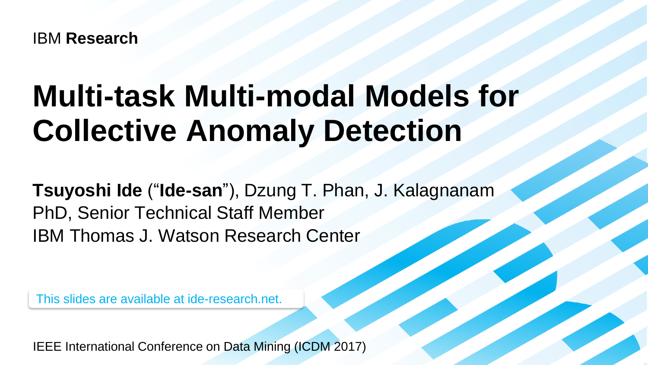IBM **Research**

# **Multi-task Multi-modal Models for Collective Anomaly Detection**

**Tsuyoshi Ide** ("**Ide-san**"), Dzung T. Phan, J. Kalagnanam PhD, Senior Technical Staff Member IBM Thomas J. Watson Research Center

This slides are available at ide-research.net.

IEEE International Conference on Data Mining (ICDM 2017)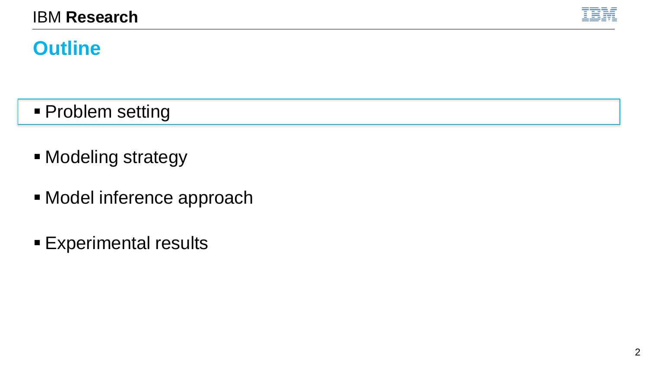

# **Outline**

- **Problem setting**
- Modeling strategy
- **E** Model inference approach
- **Experimental results**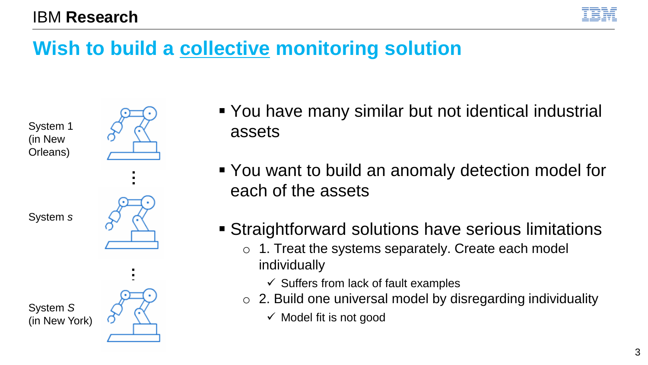

# **Wish to build a collective monitoring solution**

System 1 (in New Orleans)



System *s*

System *S* (in New York)



- You have many similar but not identical industrial assets
- You want to build an anomaly detection model for each of the assets
- **EXTERNIFFOR STRAIGHTM STRAIGHTM STRAIGHTM STRAIGHTM STRAIGHTM STRAIGHTM STRAIGHTM STRAIGHTM STRAIGHTM STRAIGHTM** 
	- o 1. Treat the systems separately. Create each model individually
		- $\checkmark$  Suffers from lack of fault examples
	- o 2. Build one universal model by disregarding individuality
		- $\checkmark$  Model fit is not good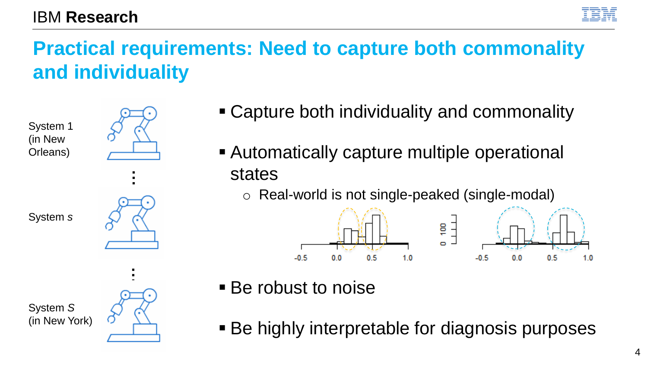**Practical requirements: Need to capture both commonality and individuality**





System *s*



■ Capture both individuality and commonality

■ Automatically capture multiple operational states

o Real-world is not single-peaked (single-modal)



- Be robust to noise
- Be highly interpretable for diagnosis purposes

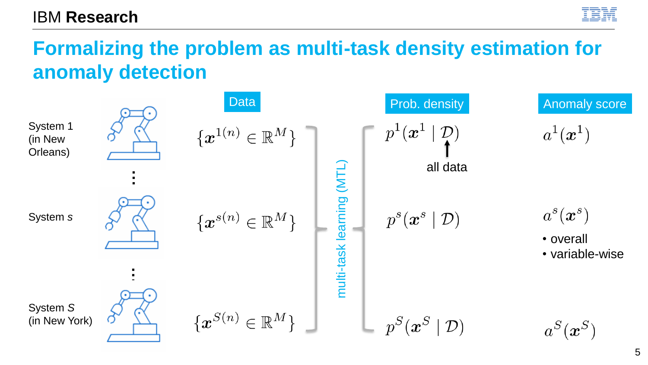

#### **Formalizing the problem as multi-task density estimation for anomaly detection**

|                                 | <b>Data</b>                                  | Prob. density                          | <b>Anomaly score</b>         |
|---------------------------------|----------------------------------------------|----------------------------------------|------------------------------|
| System 1<br>(in New<br>Orleans) | $\{\boldsymbol{x}^{1(n)} \in \mathbb{R}^M\}$ | $p^{\perp}(\boldsymbol{x}^{\perp})$    | $a^1(\boldsymbol{x}^1)$      |
|                                 |                                              | (NTL)<br>all data                      |                              |
| System s                        | $\{\boldsymbol{x}^{s(n)} \in \mathbb{R}^M\}$ | $p^s(\boldsymbol{x}^s\mid\mathcal{D})$ | $a^s(\bm{x}^s)$<br>• overall |
|                                 |                                              | multi-task learning                    | • variable-wise              |
| System S                        |                                              |                                        |                              |
| (in New York)                   | $\{\boldsymbol{x}^{S(n)} \in \mathbb{R}^M\}$ | $p^S(\bm{x}^S)$<br>$\mathcal{D}$       | $a^S(\bm{x}^S)$              |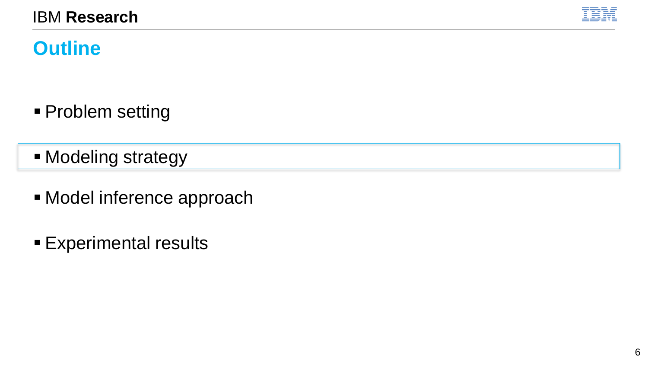

# **Outline**

- **Problem setting**
- Modeling strategy
- **E** Model inference approach
- **Experimental results**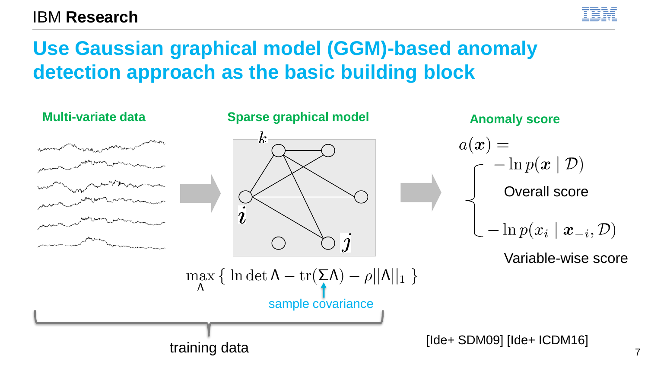

# **Use Gaussian graphical model (GGM)-based anomaly detection approach as the basic building block**

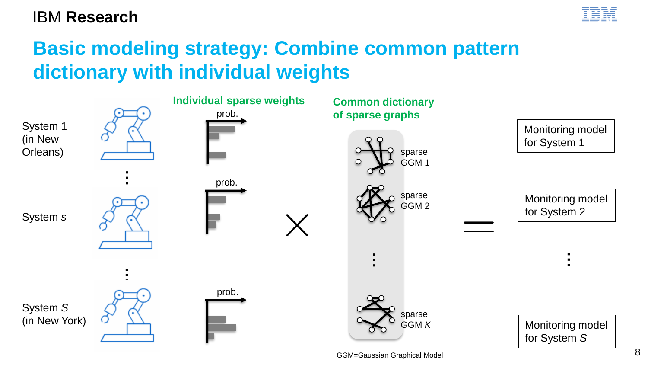

# **Basic modeling strategy: Combine common pattern dictionary with individual weights**



GGM=Gaussian Graphical Model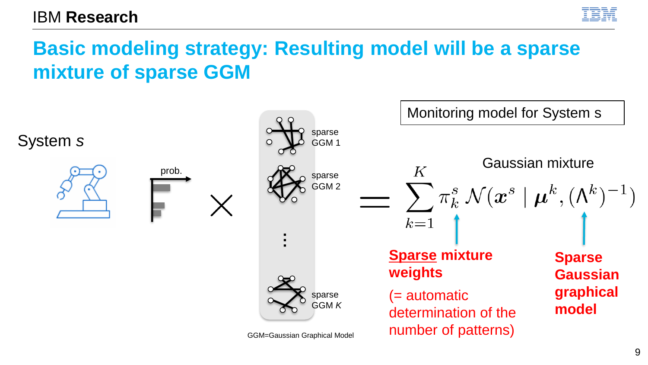

# **Basic modeling strategy: Resulting model will be a sparse mixture of sparse GGM**

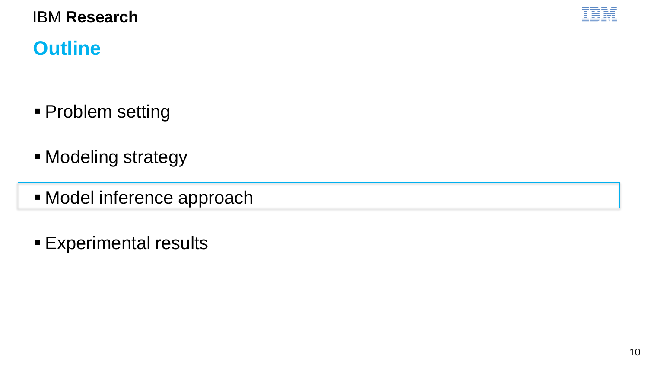

# **Outline**

- **Problem setting**
- Modeling strategy
- **E** Model inference approach
- **Experimental results**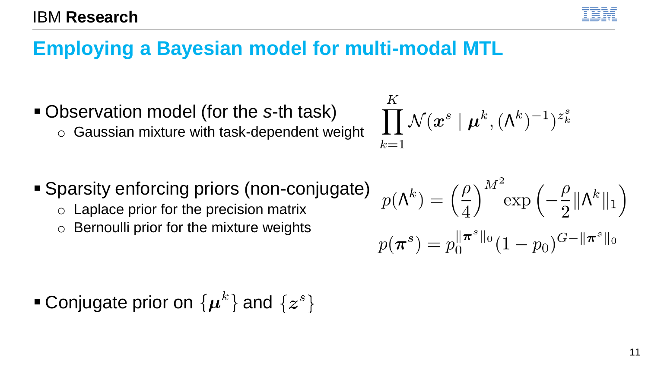### **Employing a Bayesian model for multi-modal MTL**

- Observation model (for the *s*-th task)
	- o Gaussian mixture with task-dependent weight
- Sparsity enforcing priors (non-conjugate)

 $K$ 

 $k=1$ 

- $\circ$  Laplace prior for the precision matrix
- o Bernoulli prior for the mixture weights

$$
p(\mathbf{\Lambda}^k) = \left(\frac{\rho}{4}\right)^{M^2} \exp\left(-\frac{\rho}{2} \|\mathbf{\Lambda}^k\|_1\right)
$$

$$
p(\boldsymbol{\pi}^s) = p_0^{\|\boldsymbol{\pi}^s\|_0} (1 - p_0)^{G - \|\boldsymbol{\pi}^s\|_0}
$$

 $\prod {\cal N}(\bm{x}^s\mid \bm{\mu}^k,(\bm{\Lambda}^k)^{-1})^{z^s_k}$ 

**• Conjugate prior on**  $\{\mu^k\}$  **and**  $\{z^s\}$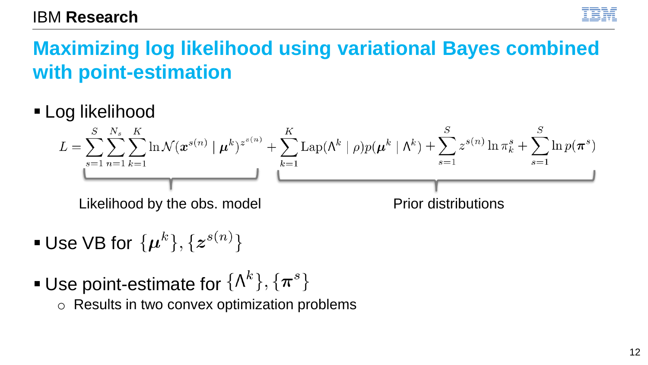

# **Maximizing log likelihood using variational Bayes combined with point-estimation**

**E** Log likelihood

$$
L = \sum_{s=1}^{S} \sum_{n=1}^{N_s} \sum_{k=1}^{K} \ln \mathcal{N}(x^{s(n)} | \mu^k)^{z^{s(n)}} + \sum_{k=1}^{K} \text{Lap}(\Lambda^k | \rho) p(\mu^k | \Lambda^k) + \sum_{s=1}^{S} z^{s(n)} \ln \pi_k^s + \sum_{s=1}^{S} \ln p(\pi^s)
$$
  
Likelihood by the obs. model  
Prior distributions

- **Use VB for**  $\{\mu^k\}, \{z^{s(n)}\}$
- **Use point-estimate for**  $\{\Lambda^k\}, \{\pi^s\}$ 
	- o Results in two convex optimization problems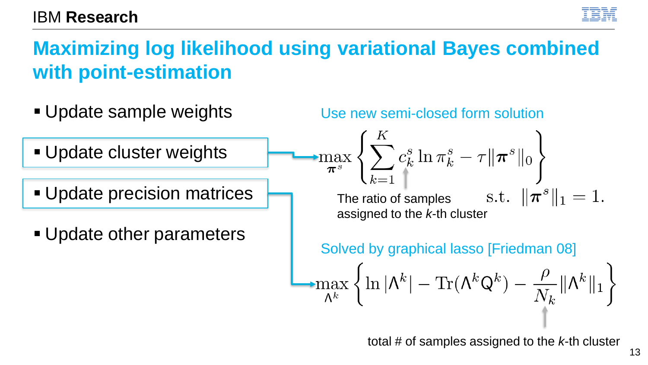

# **Maximizing log likelihood using variational Bayes combined with point-estimation**



total # of samples assigned to the *k*-th cluster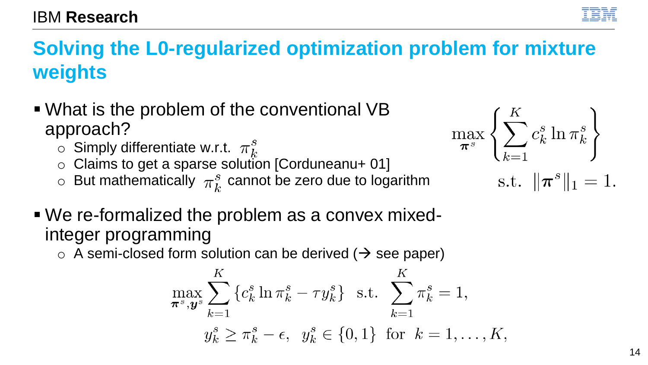# **Solving the L0-regularized optimization problem for mixture weights**

- What is the problem of the conventional VB approach?
	- $\circ$  Simply differentiate w.r.t.  $\pi_k^s$
	- $\circ$  Claims to get a sparse solution [Corduneanu+ 01]
	- $\circ$  But mathematically  $\pi_k^s$  cannot be zero due to logarithm
- We re-formalized the problem as a convex mixedinteger programming
	- $\circ$  A semi-closed form solution can be derived ( $\rightarrow$  see paper)

$$
\max_{\pi^s, \mathbf{y}^s} \sum_{k=1}^K \{c_k^s \ln \pi_k^s - \tau y_k^s\} \text{ s.t. } \sum_{k=1}^K \pi_k^s = 1, \n y_k^s \ge \pi_k^s - \epsilon, \quad y_k^s \in \{0, 1\} \text{ for } k = 1, ..., K
$$



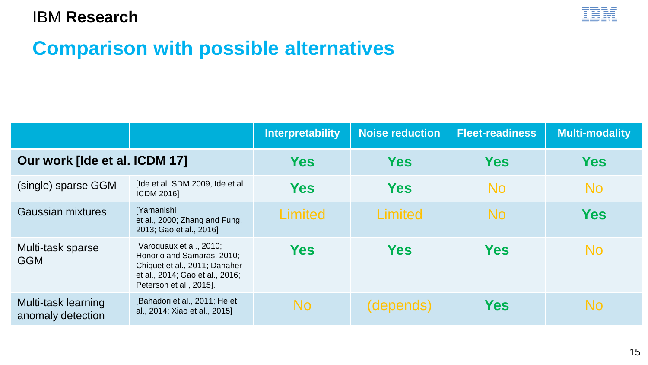

#### **Comparison with possible alternatives**

|                                          |                                                                                                                                                       | <b>Interpretability</b> | <b>Noise reduction</b> | <b>Fleet-readiness</b> | <b>Multi-modality</b> |
|------------------------------------------|-------------------------------------------------------------------------------------------------------------------------------------------------------|-------------------------|------------------------|------------------------|-----------------------|
| Our work [Ide et al. ICDM 17]            |                                                                                                                                                       | <b>Yes</b>              | <b>Yes</b>             | Yes                    | Yes                   |
| (single) sparse GGM                      | [Ide et al. SDM 2009, Ide et al.<br><b>ICDM 20161</b>                                                                                                 | Yes                     | <b>Yes</b>             | No                     | No                    |
| Gaussian mixtures                        | [Yamanishi<br>et al., 2000; Zhang and Fung,<br>2013; Gao et al., 2016]                                                                                | Limited                 | Limited                | <b>No</b>              | Yes                   |
| Multi-task sparse<br><b>GGM</b>          | [Varoquaux et al., 2010;<br>Honorio and Samaras, 2010;<br>Chiquet et al., 2011; Danaher<br>et al., 2014; Gao et al., 2016;<br>Peterson et al., 2015]. | <b>Yes</b>              | <b>Yes</b>             | <b>Yes</b>             | No                    |
| Multi-task learning<br>anomaly detection | [Bahadori et al., 2011; He et<br>al., 2014; Xiao et al., 2015]                                                                                        | <b>No</b>               | (depends)              | Yes                    | No                    |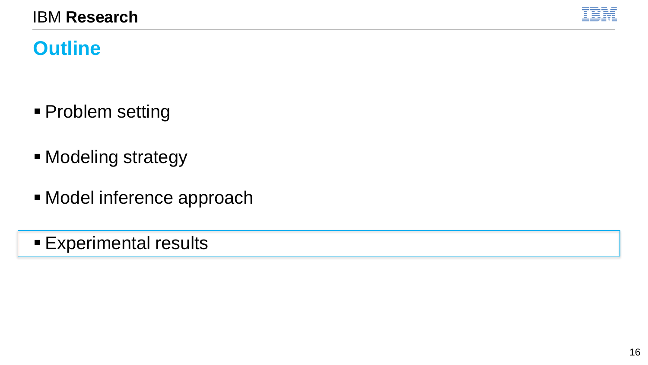

# **Outline**

- **Problem setting**
- Modeling strategy
- **E** Model inference approach
- **Experimental results**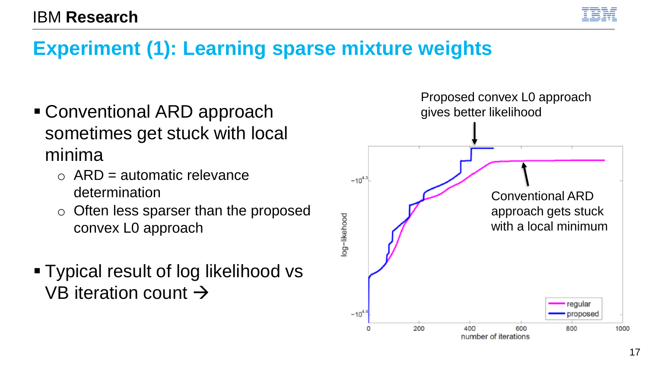

#### **Experiment (1): Learning sparse mixture weights**

- Conventional ARD approach sometimes get stuck with local minima
	- $\circ$  ARD = automatic relevance determination
	- o Often less sparser than the proposed convex L0 approach
- Typical result of log likelihood vs VB iteration count  $\rightarrow$

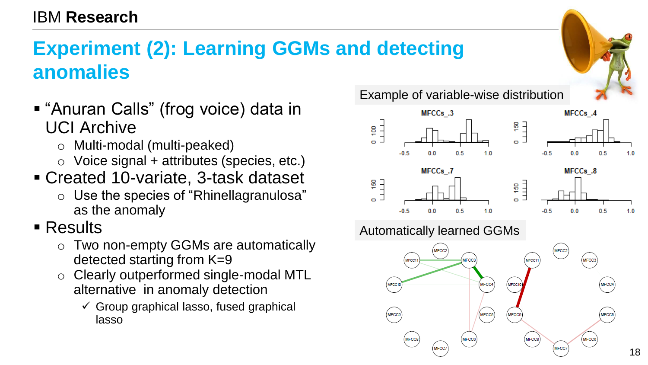# **Experiment (2): Learning GGMs and detecting anomalies**

- "Anuran Calls" (frog voice) data in UCI Archive
	- o Multi-modal (multi-peaked)
	- $\circ$  Voice signal + attributes (species, etc.)
- Created 10-variate, 3-task dataset
	- o Use the species of "Rhinellagranulosa" as the anomaly
- $\blacksquare$  Results
	- o Two non-empty GGMs are automatically detected starting from K=9
	- o Clearly outperformed single-modal MTL alternative in anomaly detection
		- $\checkmark$  Group graphical lasso, fused graphical lasso

Example of variable-wise distribution





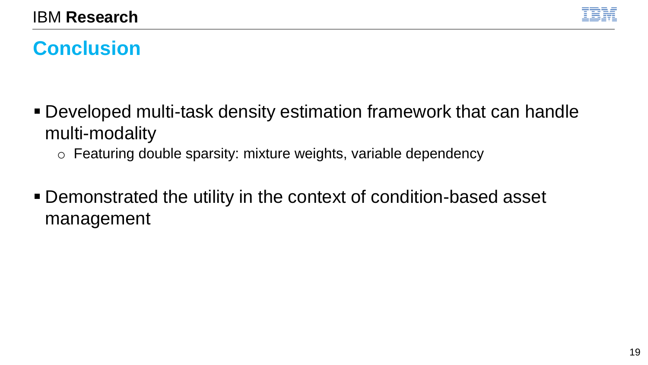

# **Conclusion**

- Developed multi-task density estimation framework that can handle multi-modality
	- o Featuring double sparsity: mixture weights, variable dependency
- Demonstrated the utility in the context of condition-based asset management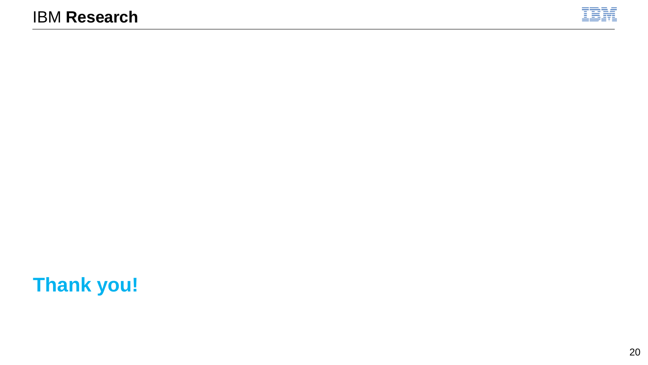

# **Thank you!**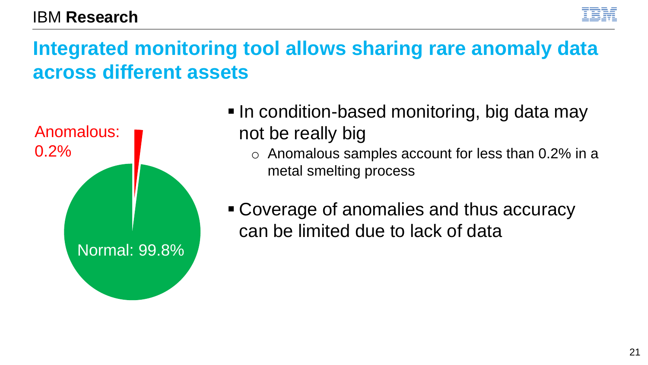# **Integrated monitoring tool allows sharing rare anomaly data across different assets**



■ In condition-based monitoring, big data may not be really big

o Anomalous samples account for less than 0.2% in a metal smelting process

■ Coverage of anomalies and thus accuracy can be limited due to lack of data